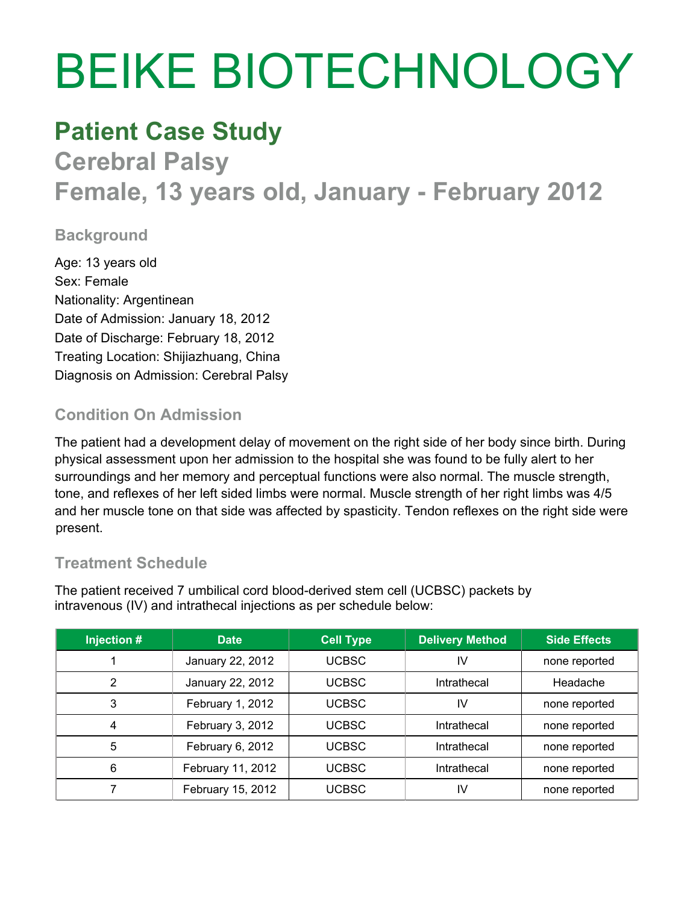# BEIKE BIOTECHNOLOGY

## **Patient Case Study**

**Cerebral Palsy Female, 13 years old, January - February 2012**

#### **Background**

Age: 13 years old Sex: Female Nationality: Argentinean Date of Admission: January 18, 2012 Date of Discharge: February 18, 2012 Treating Location: Shijiazhuang, China Diagnosis on Admission: Cerebral Palsy

### **Condition On Admission**

The patient had a development delay of movement on the right side of her body since birth. During physical assessment upon her admission to the hospital she was found to be fully alert to her surroundings and her memory and perceptual functions were also normal. The muscle strength, tone, and reflexes of her left sided limbs were normal. Muscle strength of her right limbs was 4/5 and her muscle tone on that side was affected by spasticity. Tendon reflexes on the right side were present.

#### **Treatment Schedule**

The patient received 7 umbilical cord blood-derived stem cell (UCBSC) packets by intravenous (IV) and intrathecal injections as per schedule below:

| Injection # | <b>Date</b>       | <b>Cell Type</b> | <b>Delivery Method</b> | <b>Side Effects</b> |
|-------------|-------------------|------------------|------------------------|---------------------|
|             | January 22, 2012  | <b>UCBSC</b>     | IV                     | none reported       |
| 2           | January 22, 2012  | <b>UCBSC</b>     | Intrathecal            | Headache            |
| 3           | February 1, 2012  | <b>UCBSC</b>     | IV                     | none reported       |
| 4           | February 3, 2012  | <b>UCBSC</b>     | Intrathecal            | none reported       |
| 5           | February 6, 2012  | <b>UCBSC</b>     | Intrathecal            | none reported       |
| 6           | February 11, 2012 | <b>UCBSC</b>     | Intrathecal            | none reported       |
|             | February 15, 2012 | <b>UCBSC</b>     | IV                     | none reported       |